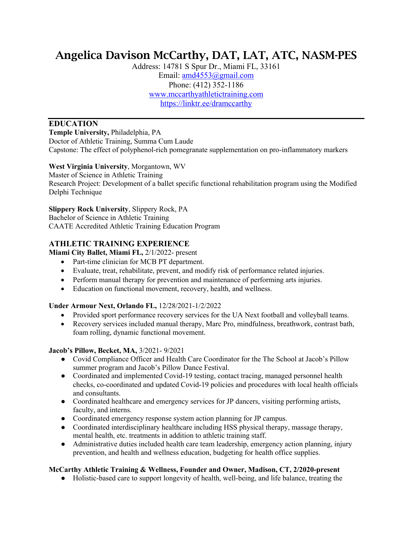# Angelica Davison McCarthy, DAT, LAT, ATC, NASM-PES

Address: 14781 S Spur Dr., Miami FL, 33161 Email: amd4553@gmail.com Phone: (412) 352-1186 www.mccarthyathletictraining.com https://linktr.ee/dramccarthy

# **EDUCATION**

**Temple University,** Philadelphia, PA Doctor of Athletic Training, Summa Cum Laude Capstone: The effect of polyphenol-rich pomegranate supplementation on pro-inflammatory markers

## **West Virginia University**, Morgantown, WV

Master of Science in Athletic Training Research Project: Development of a ballet specific functional rehabilitation program using the Modified Delphi Technique

## **Slippery Rock University**, Slippery Rock, PA

Bachelor of Science in Athletic Training CAATE Accredited Athletic Training Education Program

## **ATHLETIC TRAINING EXPERIENCE**

**Miami City Ballet, Miami FL,** 2/1/2022- present

- Part-time clinician for MCB PT department.
- Evaluate, treat, rehabilitate, prevent, and modify risk of performance related injuries.
- Perform manual therapy for prevention and maintenance of performing arts injuries.
- Education on functional movement, recovery, health, and wellness.

## **Under Armour Next, Orlando FL,** 12/28/2021-1/2/2022

- Provided sport performance recovery services for the UA Next football and volleyball teams.
- Recovery services included manual therapy, Marc Pro, mindfulness, breathwork, contrast bath, foam rolling, dynamic functional movement.

## **Jacob's Pillow, Becket, MA,** 3/2021- 9/2021

- Covid Compliance Officer and Health Care Coordinator for the The School at Jacob's Pillow summer program and Jacob's Pillow Dance Festival.
- Coordinated and implemented Covid-19 testing, contact tracing, managed personnel health checks, co-coordinated and updated Covid-19 policies and procedures with local health officials and consultants.
- Coordinated healthcare and emergency services for JP dancers, visiting performing artists, faculty, and interns.
- Coordinated emergency response system action planning for JP campus.
- Coordinated interdisciplinary healthcare including HSS physical therapy, massage therapy, mental health, etc. treatments in addition to athletic training staff.
- Administrative duties included health care team leadership, emergency action planning, injury prevention, and health and wellness education, budgeting for health office supplies.

## **McCarthy Athletic Training & Wellness, Founder and Owner, Madison, CT, 2/2020-present**

● Holistic-based care to support longevity of health, well-being, and life balance, treating the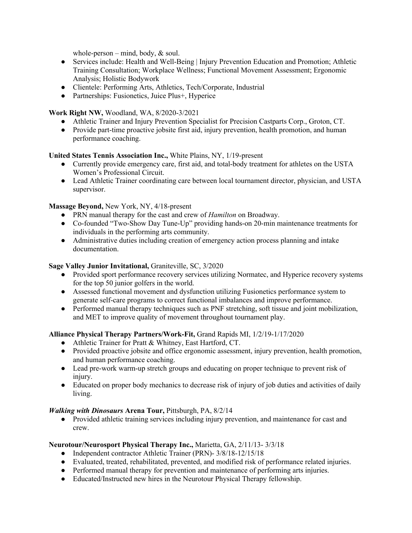whole-person – mind, body,  $&$  soul.

- Services include: Health and Well-Being | Injury Prevention Education and Promotion; Athletic Training Consultation; Workplace Wellness; Functional Movement Assessment; Ergonomic Analysis; Holistic Bodywork
- Clientele: Performing Arts, Athletics, Tech/Corporate, Industrial
- Partnerships: Fusionetics, Juice Plus+, Hyperice

## **Work Right NW,** Woodland, WA, 8/2020-3/2021

- Athletic Trainer and Injury Prevention Specialist for Precision Castparts Corp., Groton, CT.
- Provide part-time proactive jobsite first aid, injury prevention, health promotion, and human performance coaching.

## **United States Tennis Association Inc.,** White Plains, NY, 1/19-present

- Currently provide emergency care, first aid, and total-body treatment for athletes on the USTA Women's Professional Circuit.
- Lead Athletic Trainer coordinating care between local tournament director, physician, and USTA supervisor.

#### **Massage Beyond,** New York, NY, 4/18-present

- PRN manual therapy for the cast and crew of *Hamilton* on Broadway.
- Co-founded "Two-Show Day Tune-Up" providing hands-on 20-min maintenance treatments for individuals in the performing arts community.
- Administrative duties including creation of emergency action process planning and intake documentation.

#### **Sage Valley Junior Invitational,** Graniteville, SC, 3/2020

- Provided sport performance recovery services utilizing Normatec, and Hyperice recovery systems for the top 50 junior golfers in the world.
- Assessed functional movement and dysfunction utilizing Fusionetics performance system to generate self-care programs to correct functional imbalances and improve performance.
- Performed manual therapy techniques such as PNF stretching, soft tissue and joint mobilization, and MET to improve quality of movement throughout tournament play.

#### **Alliance Physical Therapy Partners/Work-Fit,** Grand Rapids MI, 1/2/19-1/17/2020

- Athletic Trainer for Pratt & Whitney, East Hartford, CT.
- Provided proactive jobsite and office ergonomic assessment, injury prevention, health promotion, and human performance coaching.
- Lead pre-work warm-up stretch groups and educating on proper technique to prevent risk of injury.
- Educated on proper body mechanics to decrease risk of injury of job duties and activities of daily living.

#### *Walking with Dinosaurs* **Arena Tour,** Pittsburgh, PA, 8/2/14

• Provided athletic training services including injury prevention, and maintenance for cast and crew.

#### **Neurotour/Neurosport Physical Therapy Inc.,** Marietta, GA, 2/11/13- 3/3/18

- Independent contractor Athletic Trainer (PRN)- 3/8/18-12/15/18
- Evaluated, treated, rehabilitated, prevented, and modified risk of performance related injuries.
- Performed manual therapy for prevention and maintenance of performing arts injuries.
- Educated/Instructed new hires in the Neurotour Physical Therapy fellowship.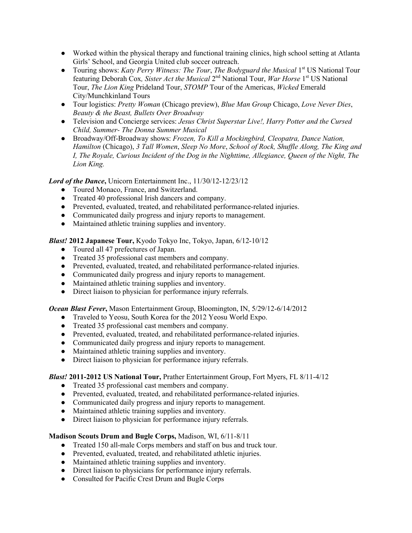- Worked within the physical therapy and functional training clinics, high school setting at Atlanta Girls' School, and Georgia United club soccer outreach.
- Touring shows: *Katy Perry Witness: The Tour, The Bodyguard the Musical* 1<sup>st</sup> US National Tour featuring Deborah Cox*, Sister Act the Musical* 2nd National Tour, *War Horse* 1st US National Tour, *The Lion King* Prideland Tour, *STOMP* Tour of the Americas, *Wicked* Emerald City/Munchkinland Tours
- Tour logistics: *Pretty Woman* (Chicago preview), *Blue Man Group* Chicago, *Love Never Dies*, *Beauty & the Beast, Bullets Over Broadway*
- Television and Concierge services: *Jesus Christ Superstar Live!, Harry Potter and the Cursed Child, Summer- The Donna Summer Musical*
- Broadway/Off-Broadway shows: *Frozen, To Kill a Mockingbird, Cleopatra, Dance Nation, Hamilton* (Chicago), *3 Tall Women*, *Sleep No More*, *School of Rock, Shuffle Along, The King and I, The Royale, Curious Incident of the Dog in the Nighttime, Allegiance, Queen of the Night, The Lion King.*

Lord of the Dance, Unicorn Entertainment Inc., 11/30/12-12/23/12

- Toured Monaco, France, and Switzerland.
- Treated 40 professional Irish dancers and company.
- Prevented, evaluated, treated, and rehabilitated performance-related injuries.
- Communicated daily progress and injury reports to management.
- Maintained athletic training supplies and inventory.

*Blast!* **2012 Japanese Tour,** Kyodo Tokyo Inc, Tokyo, Japan, 6/12-10/12

- Toured all 47 prefectures of Japan.
- Treated 35 professional cast members and company.
- Prevented, evaluated, treated, and rehabilitated performance-related injuries.
- Communicated daily progress and injury reports to management.
- Maintained athletic training supplies and inventory.
- Direct liaison to physician for performance injury referrals.

#### *Ocean Blast Fever***,** Mason Entertainment Group, Bloomington, IN, 5/29/12-6/14/2012

- Traveled to Yeosu, South Korea for the 2012 Yeosu World Expo.
- Treated 35 professional cast members and company.
- Prevented, evaluated, treated, and rehabilitated performance-related injuries.
- Communicated daily progress and injury reports to management.
- Maintained athletic training supplies and inventory.
- Direct liaison to physician for performance injury referrals.

#### *Blast!* **2011-2012 US National Tour,** Prather Entertainment Group, Fort Myers, FL 8/11-4/12

- Treated 35 professional cast members and company.
- Prevented, evaluated, treated, and rehabilitated performance-related injuries.
- Communicated daily progress and injury reports to management.
- Maintained athletic training supplies and inventory.
- Direct liaison to physician for performance injury referrals.

#### **Madison Scouts Drum and Bugle Corps,** Madison, WI, 6/11-8/11

- Treated 150 all-male Corps members and staff on bus and truck tour.
- Prevented, evaluated, treated, and rehabilitated athletic injuries.
- Maintained athletic training supplies and inventory.
- Direct liaison to physicians for performance injury referrals.
- Consulted for Pacific Crest Drum and Bugle Corps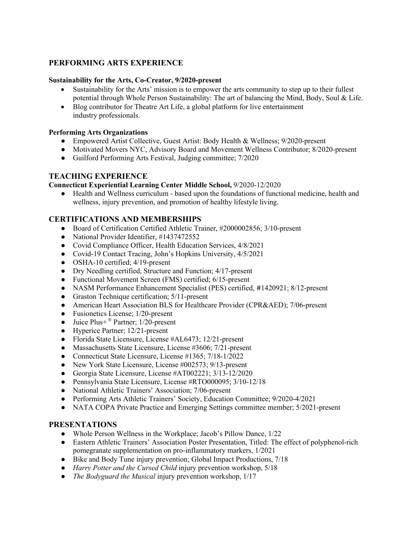# **PERFORMING ARTS EXPERIENCE**

#### **Sustainability for the Arts, Co-Creator, 9/2020-present**

- Sustainability for the Arts' mission is to empower the arts community to step up to their fullest potential through Whole Person Sustainability: The art of balancing the Mind, Body, Soul & Life.
- Blog contributor for Theatre Art Life, a global platform for live entertainment industry professionals.

#### **Performing Arts Organizations**

- Empowered Artist Collective, Guest Artist: Body Health & Wellness; 9/2020-present
- Motivated Movers NYC, Advisory Board and Movement Wellness Contributor; 8/2020-present
- Guilford Performing Arts Festival, Judging committee; 7/2020

## **TEACHING EXPERIENCE**

**Connecticut Experiential Learning Center Middle School,** 9/2020-12/2020

● Health and Wellness curriculum - based upon the foundations of functional medicine, health and wellness, injury prevention, and promotion of healthy lifestyle living.

## **CERTIFICATIONS AND MEMBERSHIPS**

- Board of Certification Certified Athletic Trainer, #2000002856; 3/10-present
- National Provider Identifier, #1437472552
- Covid Compliance Officer, Health Education Services, 4/8/2021
- Covid-19 Contact Tracing, John's Hopkins University, 4/5/2021
- OSHA-10 certified; 4/19-present
- Dry Needling certified, Structure and Function; 4/17-present
- Functional Movement Screen (FMS) certified; 6/15-present
- NASM Performance Enhancement Specialist (PES) certified, #1420921; 8/12-present
- Graston Technique certification; 5/11-present
- American Heart Association BLS for Healthcare Provider (CPR&AED); 7/06-present
- Fusionetics License; 1/20-present
- Juice Plus+<sup>®</sup> Partner;  $1/20$ -present
- Hyperice Partner; 12/21-present
- Florida State Licensure, License #AL6473; 12/21-present
- Massachusetts State Licensure, License #3606; 7/21-present
- Connecticut State Licensure, License #1365; 7/18-1/2022
- New York State Licensure, License #002573; 9/13-present
- Georgia State Licensure, License #AT002221; 3/13-12/2020
- Pennsylvania State Licensure, License #RTO000095; 3/10-12/18
- National Athletic Trainers' Association; 7/06-present
- Performing Arts Athletic Trainers' Society, Education Committee; 9/2020-4/2021
- NATA COPA Private Practice and Emerging Settings committee member; 5/2021-present

## **PRESENTATIONS**

- Whole Person Wellness in the Workplace; Jacob's Pillow Dance, 1/22
- Eastern Athletic Trainers' Association Poster Presentation, Titled: The effect of polyphenol-rich pomegranate supplementation on pro-inflammatory markers, 1/2021
- Bike and Body Tune injury prevention; Global Impact Productions, 7/18
- *Harry Potter and the Cursed Child* injury prevention workshop, 5/18
- *The Bodyguard the Musical* injury prevention workshop, 1/17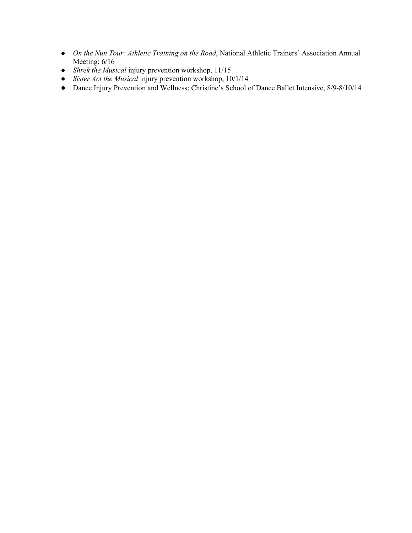- *On the Nun Tour: Athletic Training on the Road*, National Athletic Trainers' Association Annual Meeting; 6/16
- *Shrek the Musical* injury prevention workshop, 11/15
- *Sister Act the Musical* injury prevention workshop, 10/1/14
- Dance Injury Prevention and Wellness; Christine's School of Dance Ballet Intensive, 8/9-8/10/14